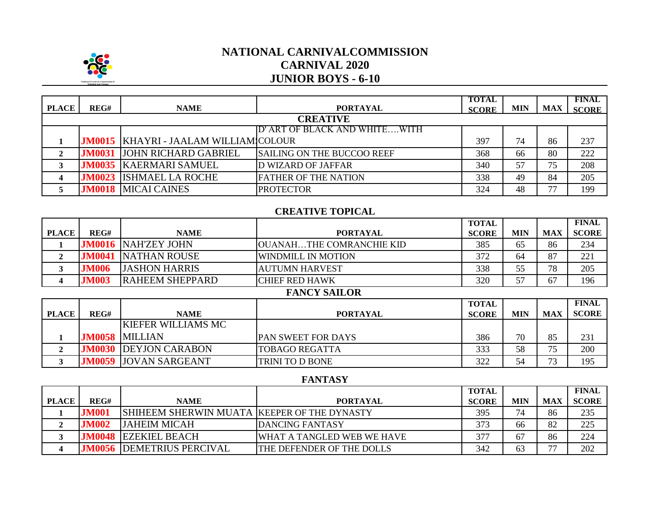

# **NATIONAL CARNIVALCOMMISSION CARNIVAL 2020 JUNIOR BOYS - 6-10**

| <b>PLACE</b>    | REG#          | <b>NAME</b>                                    | <b>PORTAYAL</b>                   | <b>TOTAL</b><br><b>SCORE</b> | <b>MIN</b> | <b>MAX</b> | <b>FINAL</b><br><b>SCORE</b> |  |
|-----------------|---------------|------------------------------------------------|-----------------------------------|------------------------------|------------|------------|------------------------------|--|
| <b>CREATIVE</b> |               |                                                |                                   |                              |            |            |                              |  |
|                 |               |                                                | D' ART OF BLACK AND WHITEWITH     |                              |            |            |                              |  |
|                 |               | <b>JM0015   KHAYRI - JAALAM WILLIAM COLOUR</b> |                                   | 397                          | 74         | 86         | 237                          |  |
|                 | <b>JM0031</b> | <b>JOHN RICHARD GABRIEL</b>                    | <b>SAILING ON THE BUCCOO REEF</b> | 368                          | 66         | 80         | 222                          |  |
|                 | <b>JM0035</b> | <b>KAERMARI SAMUEL</b>                         | <b>D WIZARD OF JAFFAR</b>         | 340                          | 57         | 75         | 208                          |  |
|                 | <b>JM0023</b> | <b>ISHMAEL LA ROCHE</b>                        | <b>FATHER OF THE NATION</b>       | 338                          | 49         | 84         | 205                          |  |
|                 | <b>JM0018</b> | <b>MICAI CAINES</b>                            | <b>PROTECTOR</b>                  | 324                          | 48         | 77         | 199                          |  |

### **CREATIVE TOPICAL**

|              |               |                        |                           | <b>TOTAL</b> |            |            | <b>FINAL</b> |
|--------------|---------------|------------------------|---------------------------|--------------|------------|------------|--------------|
| <b>PLACE</b> | REG#          | <b>NAME</b>            | <b>PORTAYAL</b>           | <b>SCORE</b> | <b>MIN</b> | <b>MAX</b> | <b>SCORE</b> |
|              | <b>JM0016</b> | <b>NAHZEY JOHN</b>     | JOUANAHTHE COMRANCHIE KID | 385          | 65         | 86         | 234          |
|              | <b>IM004</b>  | <b>NATHAN ROUSE</b>    | WINDMILL IN MOTION        | 372          | 64         | 87         | 221          |
|              | <b>JM006</b>  | <b>JASHON HARRIS</b>   | AUTUMN HARVEST            | 338          | 55         | 78         | 205          |
|              | <b>M003</b>   | <b>RAHEEM SHEPPARD</b> | <b>ICHIEF RED HAWK</b>    | 320          |            | 67         | 196          |

#### **FANCY SAILOR**

|              |      |                              |                           | <b>TOTAL</b> |     |            | <b>FINAL</b> |
|--------------|------|------------------------------|---------------------------|--------------|-----|------------|--------------|
| <b>PLACE</b> | REG# | <b>NAME</b>                  | <b>PORTAYAL</b>           | <b>SCORE</b> | MIN | <b>MAX</b> | <b>SCORE</b> |
|              |      | <b>KIEFER WILLIAMS MC</b>    |                           |              |     |            |              |
|              |      | <b>JM0058 MILLIAN</b>        | <b>PAN SWEET FOR DAYS</b> | 386          | 70  | 85         | 231          |
|              |      | <b>JM0030 DEYJON CARABON</b> | <b>TOBAGO REGATTA</b>     | 333          | 58  | 75         | 200          |
|              |      | <b>JM0059 JOVAN SARGEANT</b> | <b>TRINI TO D BONE</b>    | 322          | 54  | 73         | 195          |

### **FANTASY**

|              |               |                                             |                            | <b>TOTAL</b> |     |                          | <b>FINAL</b> |
|--------------|---------------|---------------------------------------------|----------------------------|--------------|-----|--------------------------|--------------|
| <b>PLACE</b> | REG#          | <b>NAME</b>                                 | <b>PORTAYAL</b>            | <b>SCORE</b> | MIN | <b>MAX</b>               | <b>SCORE</b> |
|              | <b>JM001</b>  | SHIHEEM SHERWIN MUATA KEEPER OF THE DYNASTY |                            | 395          | 74  | 86                       | 235          |
|              | <b>JM002</b>  | <b>JAHEIM MICAH</b>                         | <b>IDANCING FANTASY</b>    | 373          | 66  | 82                       | 225          |
|              | <b>JM0048</b> | <b>EZEKIEL BEACH</b>                        | WHAT A TANGLED WEB WE HAVE | 377          |     | 86                       | 224          |
|              | <b>JM0056</b> | <b>IDEMETRIUS PERCIVAL</b>                  | THE DEFENDER OF THE DOLLS  | 342          | 63  | $\overline{\phantom{a}}$ | 202          |